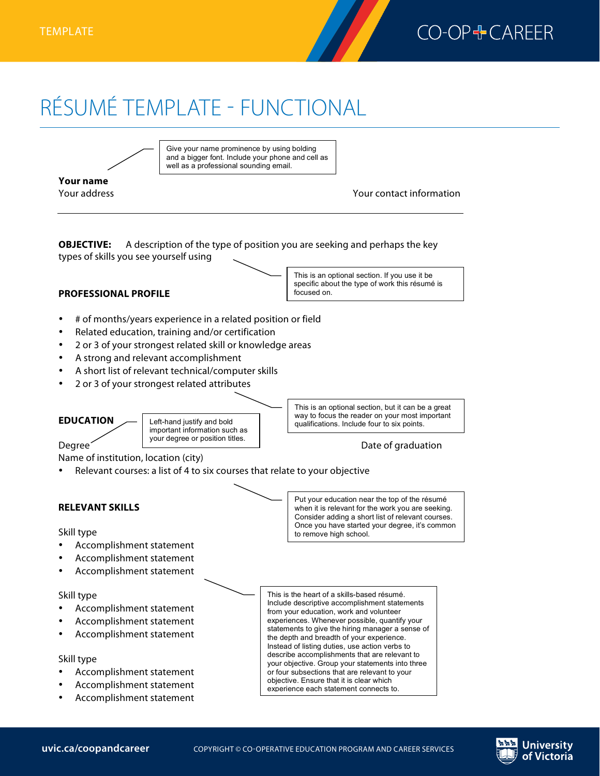

# RÉSUMÉ TEMPLATE - FUNCTIONAL **RÉSUMÉTEMPLATE:FUNCTIONAL**



Give your name prominence by using bolding and a bigger font. Include your phone and cell as well as a professional sounding email.

**Your name**

Your address Your contact information



## **PROFESSIONAL PROFILE**

This is an optional section. If you use it be specific about the type of work this résumé is focused on.

- # of months/years experience in a related position or field
- Related education, training and/or certification
- 2 or 3 of your strongest related skill or knowledge areas
- A strong and relevant accomplishment
- A short list of relevant technical/computer skills
- 2 or 3 of your strongest related attributes

**EDUCATION** Degree Date of graduation This is an optional section, but it can be a great way to focus the reader on your most important Left-hand justify and bold qualifications. Include four to six points. important information such as your degree or position titles.

Name of institution, location (city)

Relevant courses: a list of 4 to six courses that relate to your objective

### **RELEVANT SKILLS**

Skill type

- Accomplishment statement
- Accomplishment statement
- Accomplishment statement

#### Skill type

- Accomplishment statement
- Accomplishment statement
- Accomplishment statement

#### Skill type

- Accomplishment statement
- Accomplishment statement
- Accomplishment statement

Put your education near the top of the résumé when it is relevant for the work you are seeking. Consider adding a short list of relevant courses. Once you have started your degree, it's common to remove high school.

This is the heart of a skills-based résumé. Include descriptive accomplishment statements from your education, work and volunteer experiences. Whenever possible, quantify your statements to give the hiring manager a sense of the depth and breadth of your experience. Instead of listing duties, use action verbs to describe accomplishments that are relevant to your objective. Group your statements into three or four subsections that are relevant to your objective. Ensure that it is clear which experience each statement connects to.